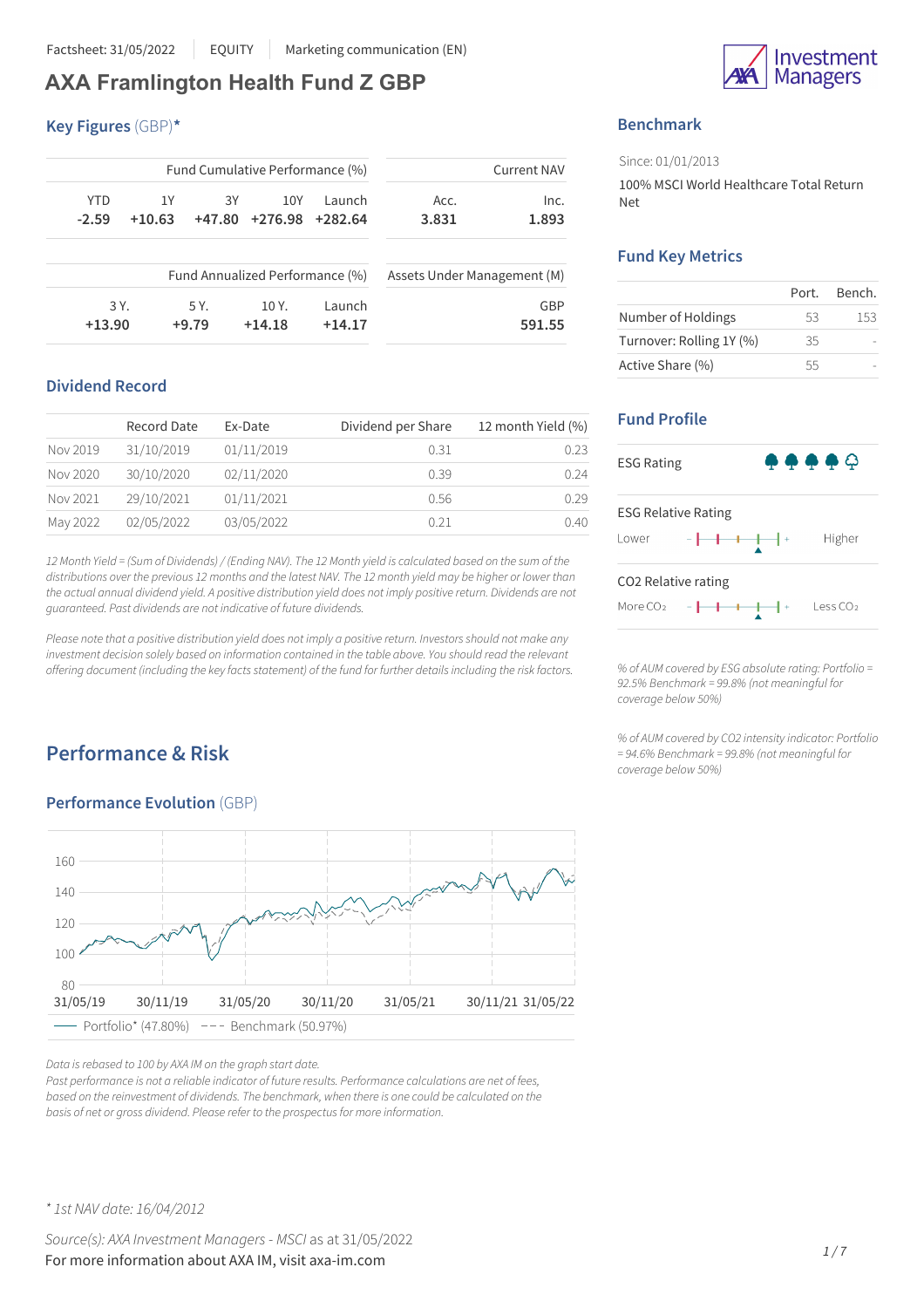# **AXA Framlington Health Fund Z GBP**

#### **Key Figures** (GBP)**\***

| <b>Current NAV</b> |                             | Fund Cumulative Performance (%) |                                 |        |          |            |
|--------------------|-----------------------------|---------------------------------|---------------------------------|--------|----------|------------|
| Inc.               | Acc.                        | Launch                          | 10Y                             | 3Υ     | 1Υ       | <b>YTD</b> |
| 1.893              | 3.831                       | +282.64                         | +276.98                         | +47.80 | $+10.63$ | $-2.59$    |
|                    | Assets Under Management (M) |                                 | Fund Annualized Performance (%) |        |          |            |
|                    |                             |                                 | 10 Y.                           | 5 Y.   |          | 3 Y.       |
| GBP                |                             | Launch                          |                                 |        |          |            |

## **Dividend Record**

|          | Record Date | Ex-Date    | Dividend per Share | 12 month Yield (%) |
|----------|-------------|------------|--------------------|--------------------|
| Nov 2019 | 31/10/2019  | 01/11/2019 | 0.31               | 0.23               |
| Nov 2020 | 30/10/2020  | 02/11/2020 | 0.39               | 0.24               |
| Nov 2021 | 29/10/2021  | 01/11/2021 | 0.56               | 0.29               |
| May 2022 | 02/05/2022  | 03/05/2022 | 0.21               | 0.40               |

12 Month Yield = (Sum of Dividends) / (Ending NAV). The 12 Month yield is calculated based on the sum of the distributions over the previous 12 months and the latest NAV. The 12 month yield may be higher or lower than the actual annual dividend yield. A positive distribution yield does not imply positive return. Dividends are not *guaranteed. Past dividends are not indicative of future dividends.*

Please note that a positive distribution yield does not imply a positive return. Investors should not make any *investment decision solely based on information contained in the table above. You should read the relevant offering document (including the key factsstatement) of the fund for further detailsincluding the risk factors.*

# **Performance & Risk**

## **Performance Evolution** (GBP)



*Data isrebased to 100 by AXA IM on the graph start date.*

*Past performance is not a reliable indicator of future results. Performance calculations are net of fees, based on the reinvestment of dividends. The benchmark, when there is one could be calculated on the basis of net or gross dividend. Please refer to the prospectusfor more information.*



# **Benchmark**

Since: 01/01/2013 100% MSCI World Healthcare Total Return Net

### **Fund Key Metrics**

|                          | Port. | Bench. |
|--------------------------|-------|--------|
| Number of Holdings       | 53    | 153    |
| Turnover: Rolling 1Y (%) | 35    |        |
| Active Share (%)         | 55    |        |

# **Fund Profile**



*% of AUM covered by ESG absolute rating: Portfolio = 92.5% Benchmark = 99.8% (not meaningful for coverage below 50%)*

*% of AUM covered by CO2 intensity indicator: Portfolio = 94.6% Benchmark = 99.8% (not meaningful for coverage below 50%)*

*\* 1st NAV date: 16/04/2012*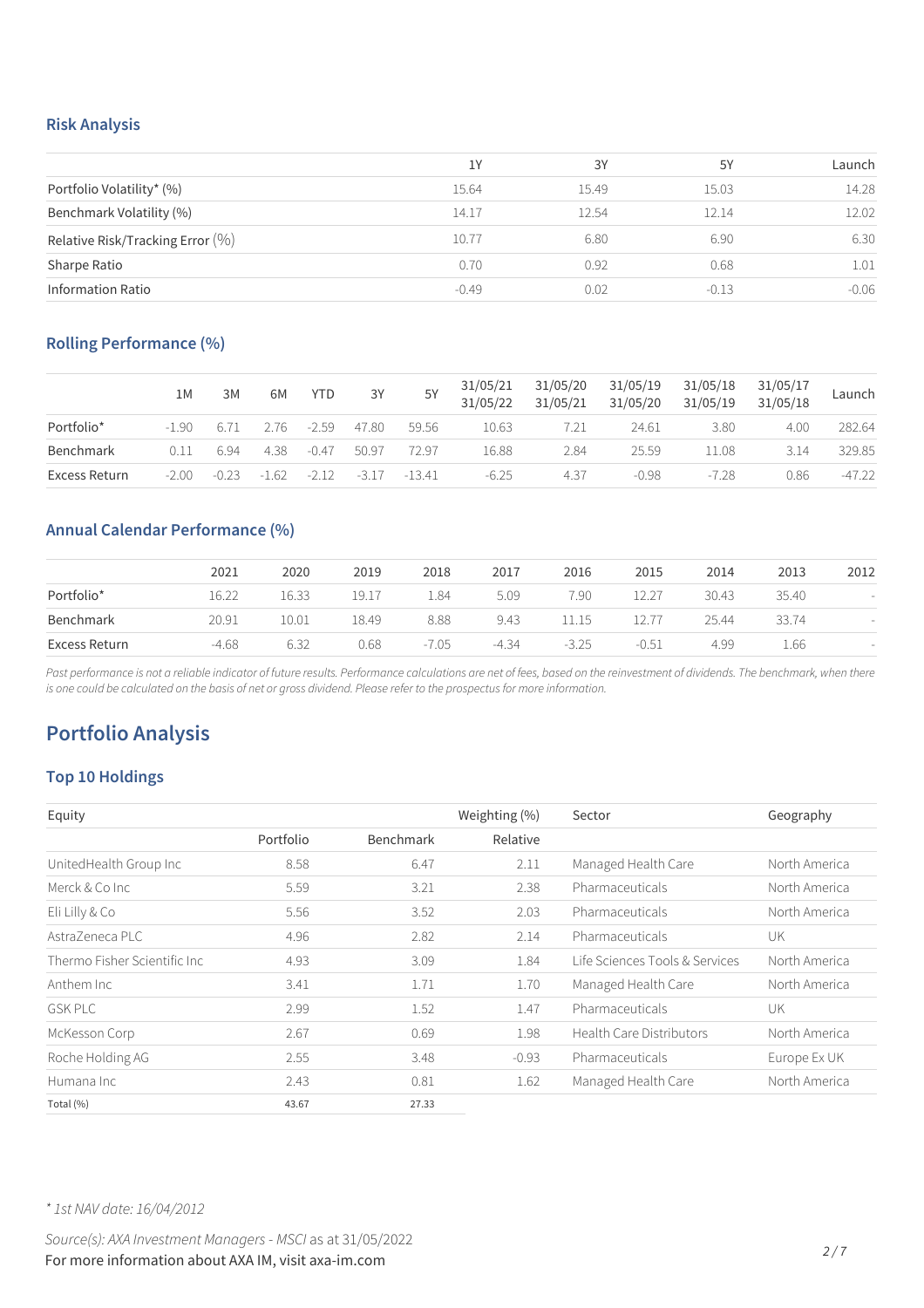#### **Risk Analysis**

|                                     | 1Y      | 3Y    | 5Y      | Launch  |
|-------------------------------------|---------|-------|---------|---------|
| Portfolio Volatility* (%)           | 15.64   | 15.49 | 15.03   | 14.28   |
| Benchmark Volatility (%)            | 14.17   | 12.54 | 12.14   | 12.02   |
| Relative Risk/Tracking Error $(\%)$ | 10.77   | 6.80  | 6.90    | 6.30    |
| Sharpe Ratio                        | 0.70    | 0.92  | 0.68    | 1.01    |
| <b>Information Ratio</b>            | $-0.49$ | 0.02  | $-0.13$ | $-0.06$ |

## **Rolling Performance (%)**

|               | 1M      | 3M      | 6M      | YTD.    | 3Y    | 5Y              | 31/05/21<br>31/05/22 | 31/05/20<br>31/05/21 | 31/05/19<br>31/05/20 | 31/05/18<br>31/05/19 | 31/05/17<br>31/05/18 | Launch   |
|---------------|---------|---------|---------|---------|-------|-----------------|----------------------|----------------------|----------------------|----------------------|----------------------|----------|
| Portfolio*    | $-1.90$ | 6.71    | 2.76    | $-2.59$ | 47.80 | 59.56           | 10.63                | 7.21                 | 24.61                | 3.80                 | 4.00                 | 282.64   |
| Benchmark     | 0.11    | 6.94    | 4.38    | $-0.47$ | 50.97 | 72.97           | 16.88                | 2.84                 | 25.59                | .1.08                | 3.14                 | 329.85   |
| Excess Return | $-2.00$ | $-0.23$ | $-1.62$ | $-212$  |       | $-3.17 - 13.41$ | $-6.25$              | 4.37                 | $-0.98$              | $-728$               | 0.86                 | $-47.22$ |

# **Annual Calendar Performance (%)**

|               | 2021    | 2020  | 2019  | 2018    | 2017    | 2016    | 2015    | 2014  | 2013  | 2012 |
|---------------|---------|-------|-------|---------|---------|---------|---------|-------|-------|------|
| Portfolio*    | 16.22   | 16.33 | 19.17 | 1.84    | 5.09    | 7.90    | 12.27   | 30.43 | 35.40 |      |
| Benchmark     | 20.91   | 10.01 | 18.49 | 8.88    | 9.43    | 11.15   |         | 25.44 | 33.74 |      |
| Excess Return | $-4.68$ | 6.32  | 0.68  | $-7.05$ | $-4.34$ | $-3.25$ | $-0.51$ | 4.99  | 1.66  |      |

Past performance is not a reliable indicator of future results. Performance calculations are net of fees, based on the reinvestment of dividends. The benchmark, when there is one could be calculated on the basis of net or gross dividend. Please refer to the prospectus for more information.

# **Portfolio Analysis**

# **Top 10 Holdings**

| Equity                        |           |           | Weighting (%) | Sector                          | Geography     |
|-------------------------------|-----------|-----------|---------------|---------------------------------|---------------|
|                               | Portfolio | Benchmark | Relative      |                                 |               |
| UnitedHealth Group Inc        | 8.58      | 6.47      | 2.11          | Managed Health Care             | North America |
| Merck & Co Inc                | 5.59      | 3.21      | 2.38          | Pharmaceuticals                 | North America |
| Eli Lilly & Co                | 5.56      | 3.52      | 2.03          | Pharmaceuticals                 | North America |
| AstraZeneca PLC               | 4.96      | 2.82      | 2.14          | Pharmaceuticals                 | UK            |
| Thermo Fisher Scientific Inc. | 4.93      | 3.09      | 1.84          | Life Sciences Tools & Services  | North America |
| Anthem Inc                    | 3.41      | 1.71      | 1.70          | Managed Health Care             | North America |
| <b>GSK PLC</b>                | 2.99      | 1.52      | 1.47          | Pharmaceuticals                 | UK            |
| McKesson Corp                 | 2.67      | 0.69      | 1.98          | <b>Health Care Distributors</b> | North America |
| Roche Holding AG              | 2.55      | 3.48      | $-0.93$       | Pharmaceuticals                 | Europe Ex UK  |
| Humana Inc.                   | 2.43      | 0.81      | 1.62          | Managed Health Care             | North America |
| Total (%)                     | 43.67     | 27.33     |               |                                 |               |

*\* 1st NAV date: 16/04/2012*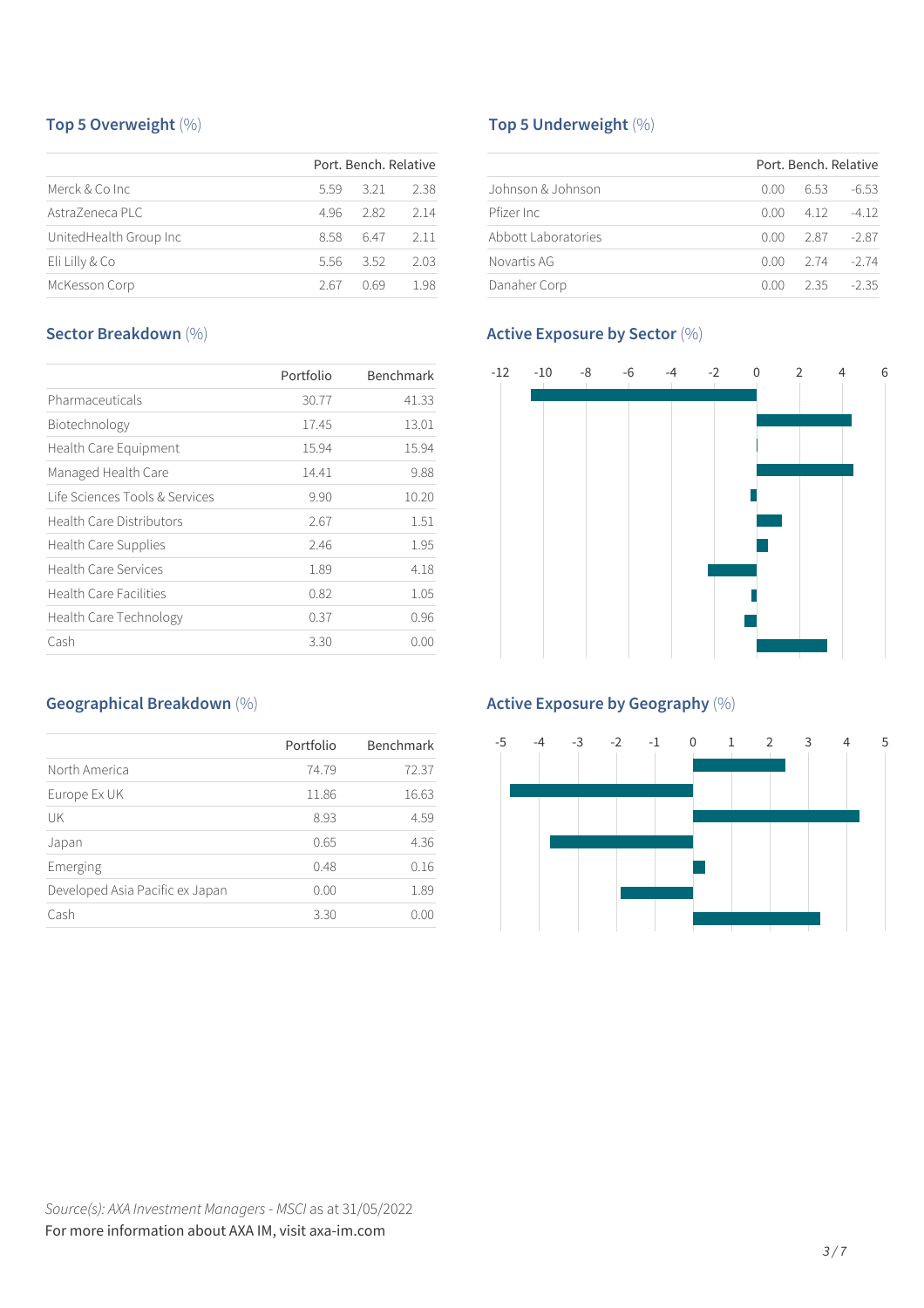# **Top 5 Overweight** (%)

|                         |      | Port, Bench, Relative |      |
|-------------------------|------|-----------------------|------|
| Merck & Co Inc.         | 5.59 | 321                   | 2.38 |
| AstraZeneca PLC         | 496  | 2.82                  | 2 14 |
| United Health Group Inc | 8.58 | 647                   | 2.11 |
| Eli Lilly & Co          | 5.56 | 3.52                  | 2.03 |
| McKesson Corp           | 2.67 | O 69                  | 198  |

# **Sector Breakdown** (%)

|                                 | Portfolio | Benchmark |
|---------------------------------|-----------|-----------|
| Pharmaceuticals                 | 30.77     | 41.33     |
| Biotechnology                   | 17.45     | 13.01     |
| Health Care Equipment           | 15.94     | 15.94     |
| Managed Health Care             | 14.41     | 9.88      |
| Life Sciences Tools & Services  | 9.90      | 10.20     |
| <b>Health Care Distributors</b> | 2.67      | 1.51      |
| Health Care Supplies            | 2.46      | 1.95      |
| <b>Health Care Services</b>     | 1.89      | 4.18      |
| <b>Health Care Facilities</b>   | 0.82      | 1.05      |
| Health Care Technology          | 0.37      | 0.96      |
| Cash                            | 3.30      | 0.00      |

# **Geographical Breakdown** (%)

|                                 | Portfolio | Benchmark |
|---------------------------------|-----------|-----------|
| North America                   | 74.79     | 72.37     |
| Europe Ex UK                    | 11.86     | 16.63     |
| UK                              | 8.93      | 4.59      |
| Japan                           | 0.65      | 4.36      |
| Emerging                        | 0.48      | 0.16      |
| Developed Asia Pacific ex Japan | 0.00      | 1.89      |
| Cash                            | 3.30      | ()()()    |

# **Top 5 Underweight** (%)

|                     |      | Port, Bench, Relative |         |
|---------------------|------|-----------------------|---------|
| Johnson & Johnson   | 0.00 | 6.53                  | $-6.53$ |
| Pfizer Inc.         | 0.00 | 4 1 2                 | -4 12   |
| Abbott Laboratories | 0.OO | 287                   | -2.87   |
| Novartis AG         | 0.OO | 2 74                  | -2 74   |
| Danaher Corp        | n nn | 2.35                  | $-2.35$ |

# **Active Exposure by Sector** (%)



# **Active Exposure by Geography** (%)

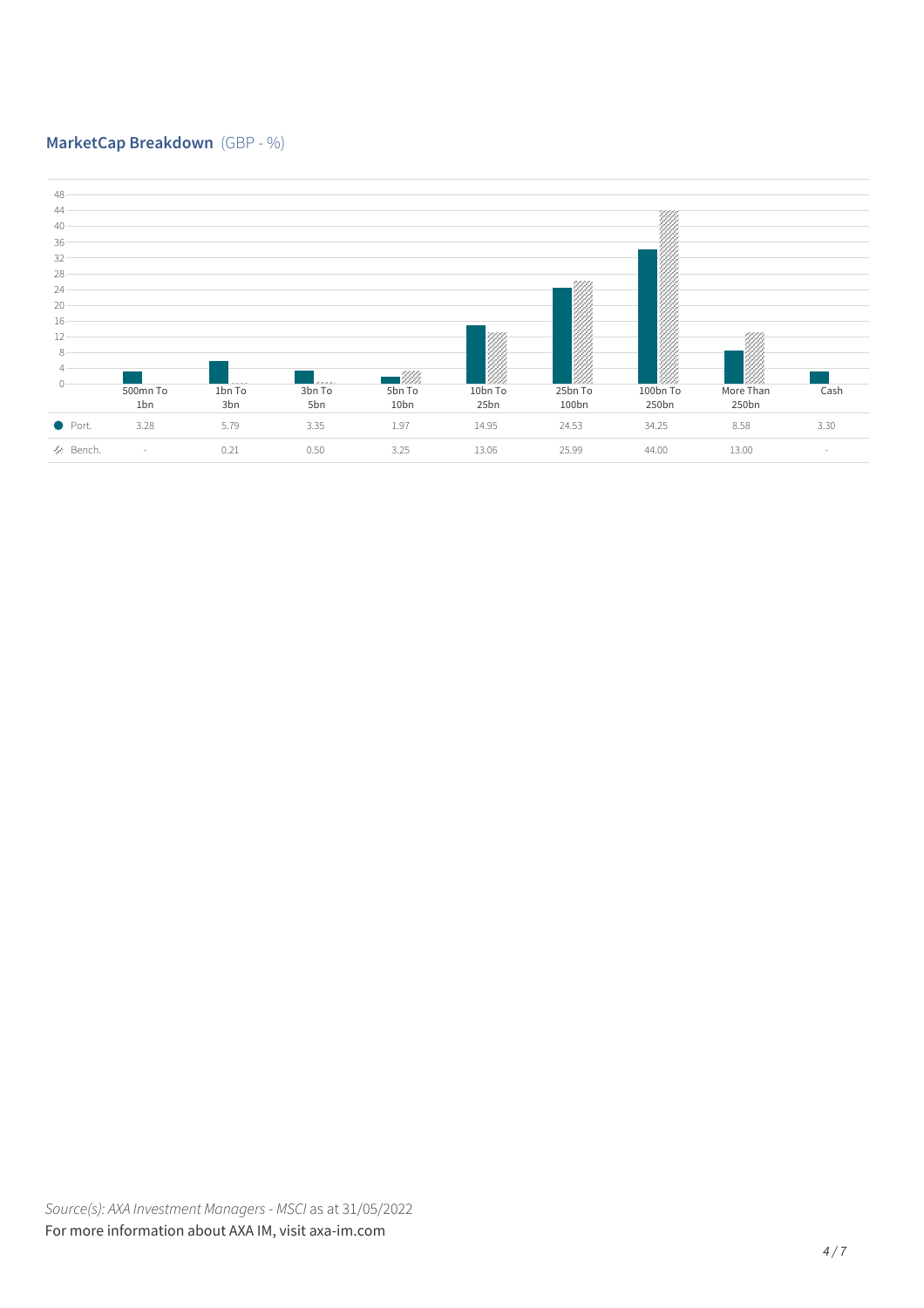# **MarketCap Breakdown** (GBP - %)

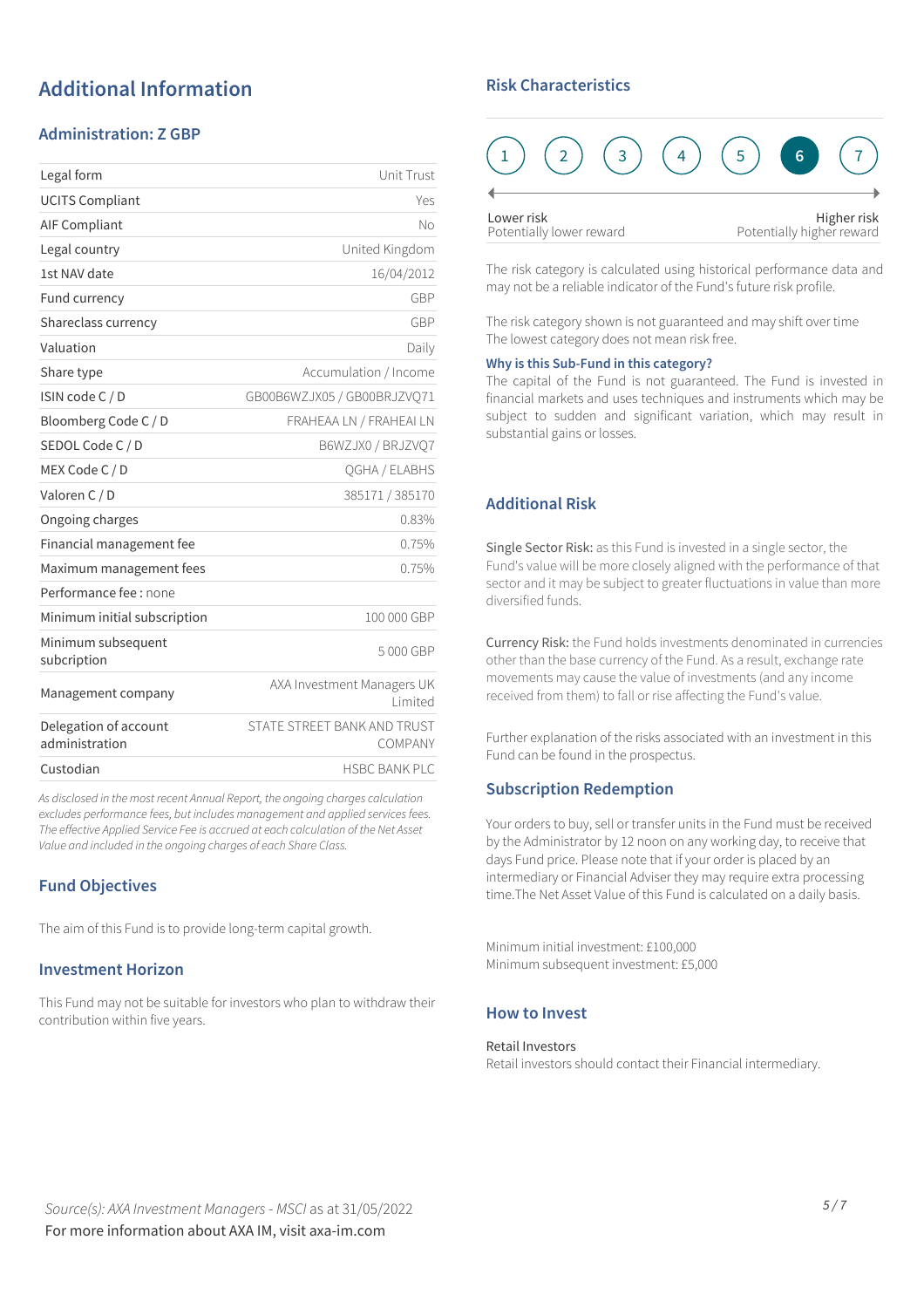# **Additional Information**

## **Administration: Z GBP**

| Legal form                              | Unit Trust                             |
|-----------------------------------------|----------------------------------------|
| <b>UCITS Compliant</b>                  | Yes                                    |
| <b>AIF Compliant</b>                    | No                                     |
| Legal country                           | United Kingdom                         |
| 1st NAV date                            | 16/04/2012                             |
| Fund currency                           | GBP                                    |
| Shareclass currency                     | GBP                                    |
| Valuation                               | Daily                                  |
| Share type                              | Accumulation / Income                  |
| ISIN code C / D                         | GB00B6WZJX05 / GB00BRJZVO71            |
| Bloomberg Code C / D                    | FRAHEAA LN / FRAHEAI LN                |
| SEDOL Code C / D                        | B6WZJX0 / BRJZVO7                      |
| MEX Code C / D                          | QGHA / ELABHS                          |
| Valoren C / D                           | 385171 / 385170                        |
| Ongoing charges                         | 0.83%                                  |
| Financial management fee                | 0.75%                                  |
| Maximum management fees                 | 0.75%                                  |
| Performance fee : none                  |                                        |
| Minimum initial subscription            | 100 000 GBP                            |
| Minimum subsequent<br>subcription       | 5000 GBP                               |
| Management company                      | AXA Investment Managers UK<br>Limited  |
| Delegation of account<br>administration | STATE STREET BANK AND TRUST<br>COMPANY |
| Custodian                               | <b>HSBC BANK PLC</b>                   |
|                                         |                                        |

*As disclosed in the most recent Annual Report, the ongoing charges calculation excludes performance fees, but includes management and applied servicesfees. The effective Applied Service Fee is accrued at each calculation of the Net Asset Value and included in the ongoing charges of each Share Class.*

## **Fund Objectives**

The aim of this Fund is to provide long-term capital growth.

#### **Investment Horizon**

This Fund may not be suitable for investors who plan to withdraw their contribution within five years.

## **Risk Characteristics**

| Lower risk<br>Potentially lower reward |  |  | Higher risk<br>Potentially higher reward |  |  |
|----------------------------------------|--|--|------------------------------------------|--|--|

The risk category is calculated using historical performance data and may not be a reliable indicator of the Fund's future risk profile.

The risk category shown is not guaranteed and may shift over time The lowest category does not mean risk free.

#### **Why is this Sub-Fund in this category?**

The capital of the Fund is not guaranteed. The Fund is invested in financial markets and uses techniques and instruments which may be subject to sudden and significant variation, which may result in substantial gains or losses.

# **Additional Risk**

Single Sector Risk: as this Fund is invested in a single sector, the Fund's value will be more closely aligned with the performance of that sector and it may be subject to greater fluctuations in value than more diversified funds.

Currency Risk: the Fund holds investments denominated in currencies other than the base currency of the Fund. As a result, exchange rate movements may cause the value of investments (and any income received from them) to fall or rise affecting the Fund's value.

Further explanation of the risks associated with an investment in this Fund can be found in the prospectus.

#### **Subscription Redemption**

Your orders to buy, sell or transfer units in the Fund must be received by the Administrator by 12 noon on any working day, to receive that days Fund price. Please note that if your order is placed by an intermediary or Financial Adviser they may require extra processing time.The Net Asset Value of this Fund is calculated on a daily basis.

Minimum initial investment: £100,000 Minimum subsequent investment: £5,000

#### **How to Invest**

#### Retail Investors

Retail investors should contact their Financial intermediary.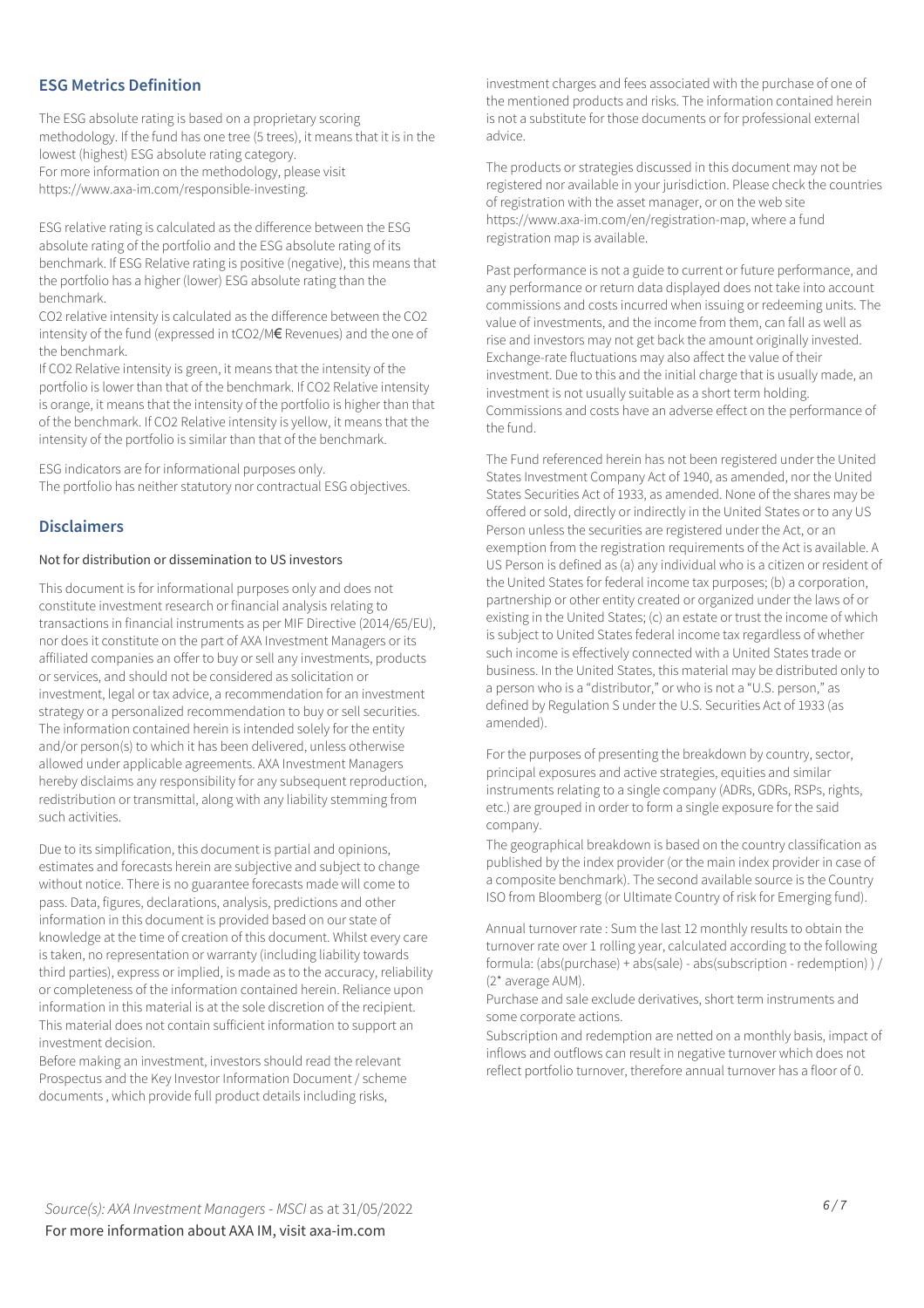#### **ESG Metrics Definition**

The ESG absolute rating is based on a proprietary scoring methodology. If the fund has one tree (5 trees), it means that it is in the lowest (highest) ESG absolute rating category. For more information on the methodology, please visit https://www.axa-im.com/responsible-investing.

ESG relative rating is calculated as the difference between the ESG absolute rating of the portfolio and the ESG absolute rating of its benchmark. If ESG Relative rating is positive (negative), this means that the portfolio has a higher (lower) ESG absolute rating than the benchmark.

CO2 relative intensity is calculated as the difference between the CO2 intensity of the fund (expressed in tCO2/M€ Revenues) and the one of the benchmark.

If CO2 Relative intensity is green, it means that the intensity of the portfolio is lower than that of the benchmark. If CO2 Relative intensity is orange, it means that the intensity of the portfolio is higher than that of the benchmark. If CO2 Relative intensity is yellow, it means that the intensity of the portfolio is similar than that of the benchmark.

ESG indicators are for informational purposes only. The portfolio has neither statutory nor contractual ESG objectives.

#### **Disclaimers**

#### Not for distribution or dissemination to US investors

This document is for informational purposes only and does not constitute investment research or financial analysis relating to transactions in financial instruments as per MIF Directive (2014/65/EU), nor does it constitute on the part of AXA Investment Managers or its affiliated companies an offer to buy or sell any investments, products or services, and should not be considered as solicitation or investment, legal or tax advice, a recommendation for an investment strategy or a personalized recommendation to buy or sell securities. The information contained herein is intended solely for the entity and/or person(s) to which it has been delivered, unless otherwise allowed under applicable agreements. AXA Investment Managers hereby disclaims any responsibility for any subsequent reproduction, redistribution or transmittal, along with any liability stemming from such activities.

Due to its simplification, this document is partial and opinions, estimates and forecasts herein are subjective and subject to change without notice. There is no guarantee forecasts made will come to pass. Data, figures, declarations, analysis, predictions and other information in this document is provided based on our state of knowledge at the time of creation of this document. Whilst every care is taken, no representation or warranty (including liability towards third parties), express or implied, is made as to the accuracy, reliability or completeness of the information contained herein. Reliance upon information in this material is at the sole discretion of the recipient. This material does not contain sufficient information to support an investment decision.

Before making an investment, investors should read the relevant Prospectus and the Key Investor Information Document / scheme documents , which provide full product details including risks,

investment charges and fees associated with the purchase of one of the mentioned products and risks. The information contained herein is not a substitute for those documents or for professional external advice.

The products or strategies discussed in this document may not be registered nor available in your jurisdiction. Please check the countries of registration with the asset manager, or on the web site https://www.axa-im.com/en/registration-map, where a fund registration map is available.

Past performance is not a guide to current or future performance, and any performance or return data displayed does not take into account commissions and costs incurred when issuing or redeeming units. The value of investments, and the income from them, can fall as well as rise and investors may not get back the amount originally invested. Exchange-rate fluctuations may also affect the value of their investment. Due to this and the initial charge that is usually made, an investment is not usually suitable as a short term holding. Commissions and costs have an adverse effect on the performance of the fund.

The Fund referenced herein has not been registered under the United States Investment Company Act of 1940, as amended, nor the United States Securities Act of 1933, as amended. None of the shares may be offered or sold, directly or indirectly in the United States or to any US Person unless the securities are registered under the Act, or an exemption from the registration requirements of the Act is available. A US Person is defined as (a) any individual who is a citizen or resident of the United States for federal income tax purposes; (b) a corporation, partnership or other entity created or organized under the laws of or existing in the United States; (c) an estate or trust the income of which is subject to United States federal income tax regardless of whether such income is effectively connected with a United States trade or business. In the United States, this material may be distributed only to a person who is a "distributor," or who is not a "U.S. person," as defined by Regulation S under the U.S. Securities Act of 1933 (as amended).

For the purposes of presenting the breakdown by country, sector, principal exposures and active strategies, equities and similar instruments relating to a single company (ADRs, GDRs, RSPs, rights, etc.) are grouped in order to form a single exposure for the said company.

The geographical breakdown is based on the country classification as published by the index provider (or the main index provider in case of a composite benchmark). The second available source is the Country ISO from Bloomberg (or Ultimate Country of risk for Emerging fund).

Annual turnover rate : Sum the last 12 monthly results to obtain the turnover rate over 1 rolling year, calculated according to the following formula: (abs(purchase) + abs(sale) - abs(subscription - redemption) ) / (2\* average AUM).

Purchase and sale exclude derivatives, short term instruments and some corporate actions.

Subscription and redemption are netted on a monthly basis, impact of inflows and outflows can result in negative turnover which does not reflect portfolio turnover, therefore annual turnover has a floor of 0.